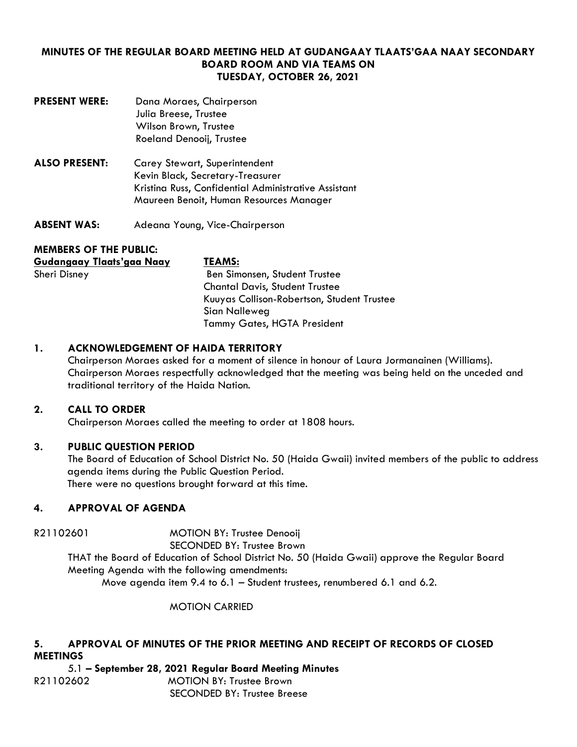# **MINUTES OF THE REGULAR BOARD MEETING HELD AT GUDANGAAY TLAATS'GAA NAAY SECONDARY BOARD ROOM AND VIA TEAMS ON TUESDAY, OCTOBER 26, 2021**

- **PRESENT WERE:** Dana Moraes, Chairperson Julia Breese, Trustee Wilson Brown, Trustee Roeland Denooij, Trustee
- **ALSO PRESENT:** Carey Stewart, Superintendent Kevin Black, Secretary-Treasurer Kristina Russ, Confidential Administrative Assistant Maureen Benoit, Human Resources Manager
- **ABSENT WAS:** Adeana Young, Vice-Chairperson

# **MEMBERS OF THE PUBLIC:**

| Gudangaay Tlaats'gaa Naay | <b>TEAMS:</b>                              |
|---------------------------|--------------------------------------------|
| <b>Sheri Disney</b>       | Ben Simonsen, Student Trustee              |
|                           | <b>Chantal Davis, Student Trustee</b>      |
|                           | Kuuyas Collison-Robertson, Student Trustee |
|                           | Sian Nalleweg                              |
|                           | <b>Tammy Gates, HGTA President</b>         |

# **1. ACKNOWLEDGEMENT OF HAIDA TERRITORY**

Chairperson Moraes asked for a moment of silence in honour of Laura Jormanainen (Williams). Chairperson Moraes respectfully acknowledged that the meeting was being held on the unceded and traditional territory of the Haida Nation.

# **2. CALL TO ORDER**

Chairperson Moraes called the meeting to order at 1808 hours.

# **3. PUBLIC QUESTION PERIOD**

The Board of Education of School District No. 50 (Haida Gwaii) invited members of the public to address agenda items during the Public Question Period. There were no questions brought forward at this time.

# **4. APPROVAL OF AGENDA**

R21102601 MOTION BY: Trustee Denooij

SECONDED BY: Trustee Brown

THAT the Board of Education of School District No. 50 (Haida Gwaii) approve the Regular Board Meeting Agenda with the following amendments:

Move agenda item 9.4 to 6.1 – Student trustees, renumbered 6.1 and 6.2.

MOTION CARRIED

## **5. APPROVAL OF MINUTES OF THE PRIOR MEETING AND RECEIPT OF RECORDS OF CLOSED MEETINGS**

5.1 **– September 28, 2021 Regular Board Meeting Minutes** R21102602MOTION BY: Trustee Brown SECONDED BY: Trustee Breese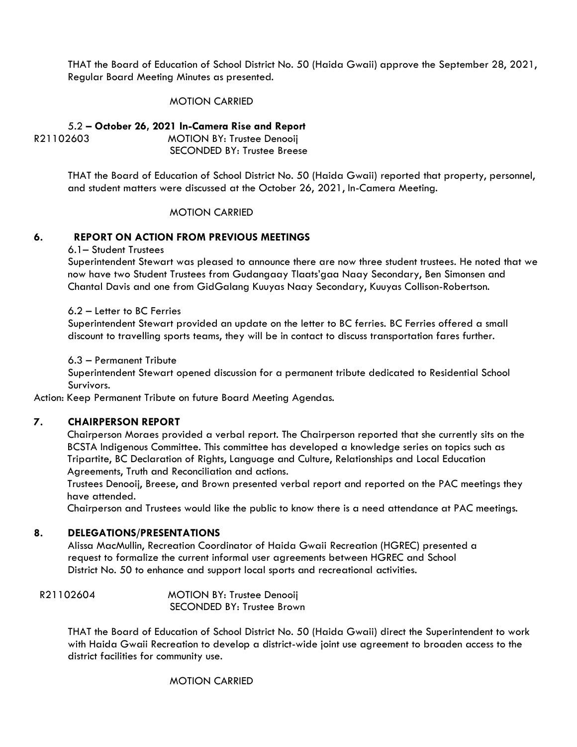THAT the Board of Education of School District No. 50 (Haida Gwaii) approve the September 28, 2021, Regular Board Meeting Minutes as presented.

### MOTION CARRIED

5.2 **– October 26, 2021 In-Camera Rise and Report** R21102603MOTION BY: Trustee Denooij SECONDED BY: Trustee Breese

> THAT the Board of Education of School District No. 50 (Haida Gwaii) reported that property, personnel, and student matters were discussed at the October 26, 2021, In-Camera Meeting.

### MOTION CARRIED

### **6. REPORT ON ACTION FROM PREVIOUS MEETINGS**

6.1– Student Trustees

Superintendent Stewart was pleased to announce there are now three student trustees. He noted that we now have two Student Trustees from Gudangaay Tlaats'gaa Naay Secondary, Ben Simonsen and Chantal Davis and one from GidGalang Kuuyas Naay Secondary, Kuuyas Collison-Robertson.

#### 6.2 – Letter to BC Ferries

Superintendent Stewart provided an update on the letter to BC ferries. BC Ferries offered a small discount to travelling sports teams, they will be in contact to discuss transportation fares further.

6.3 – Permanent Tribute

Superintendent Stewart opened discussion for a permanent tribute dedicated to Residential School Survivors.

Action: Keep Permanent Tribute on future Board Meeting Agendas.

#### **7. CHAIRPERSON REPORT**

Chairperson Moraes provided a verbal report. The Chairperson reported that she currently sits on the BCSTA Indigenous Committee. This committee has developed a knowledge series on topics such as Tripartite, BC Declaration of Rights, Language and Culture, Relationships and Local Education Agreements, Truth and Reconciliation and actions.

Trustees Denooij, Breese, and Brown presented verbal report and reported on the PAC meetings they have attended.

Chairperson and Trustees would like the public to know there is a need attendance at PAC meetings.

#### **8. DELEGATIONS/PRESENTATIONS**

Alissa MacMullin, Recreation Coordinator of Haida Gwaii Recreation (HGREC) presented a request to formalize the current informal user agreements between HGREC and School District No. 50 to enhance and support local sports and recreational activities.

| R21102604 | <b>MOTION BY: Trustee Denooij</b> |
|-----------|-----------------------------------|
|           | SECONDED BY: Trustee Brown        |

THAT the Board of Education of School District No. 50 (Haida Gwaii) direct the Superintendent to work with Haida Gwaii Recreation to develop a district-wide joint use agreement to broaden access to the district facilities for community use.

MOTION CARRIED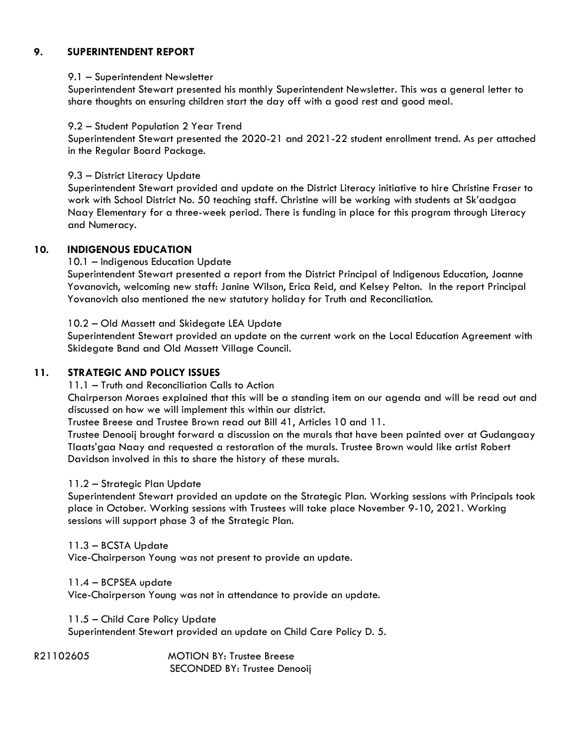## **9. SUPERINTENDENT REPORT**

### 9.1 – Superintendent Newsletter

Superintendent Stewart presented his monthly Superintendent Newsletter. This was a general letter to share thoughts on ensuring children start the day off with a good rest and good meal.

### 9.2 – Student Population 2 Year Trend

Superintendent Stewart presented the 2020-21 and 2021-22 student enrollment trend. As per attached in the Regular Board Package.

9.3 – District Literacy Update

Superintendent Stewart provided and update on the District Literacy initiative to hire Christine Fraser to work with School District No. 50 teaching staff. Christine will be working with students at Sk'aadgaa Naay Elementary for a three-week period. There is funding in place for this program through Literacy and Numeracy.

### **10. INDIGENOUS EDUCATION**

10.1 – Indigenous Education Update

Superintendent Stewart presented a report from the District Principal of Indigenous Education, Joanne Yovanovich, welcoming new staff: Janine Wilson, Erica Reid, and Kelsey Pelton. In the report Principal Yovanovich also mentioned the new statutory holiday for Truth and Reconciliation.

10.2 – Old Massett and Skidegate LEA Update

Superintendent Stewart provided an update on the current work on the Local Education Agreement with Skidegate Band and Old Massett Village Council.

### **11. STRATEGIC AND POLICY ISSUES**

11.1 – Truth and Reconciliation Calls to Action

Chairperson Moraes explained that this will be a standing item on our agenda and will be read out and discussed on how we will implement this within our district.

Trustee Breese and Trustee Brown read out Bill 41, Articles 10 and 11.

Trustee Denooij brought forward a discussion on the murals that have been painted over at Gudangaay Tlaats'gaa Naay and requested a restoration of the murals. Trustee Brown would like artist Robert Davidson involved in this to share the history of these murals.

### 11.2 – Strategic Plan Update

Superintendent Stewart provided an update on the Strategic Plan. Working sessions with Principals took place in October. Working sessions with Trustees will take place November 9-10, 2021. Working sessions will support phase 3 of the Strategic Plan.

### 11.3 – BCSTA Update

Vice-Chairperson Young was not present to provide an update.

11.4 – BCPSEA update

Vice-Chairperson Young was not in attendance to provide an update.

11.5 – Child Care Policy Update

Superintendent Stewart provided an update on Child Care Policy D. 5.

R21102605MOTION BY: Trustee Breese SECONDED BY: Trustee Denooij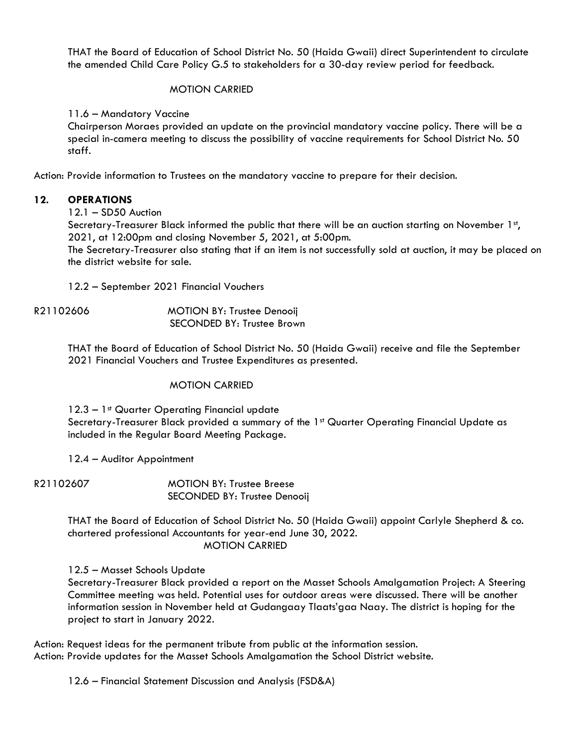THAT the Board of Education of School District No. 50 (Haida Gwaii) direct Superintendent to circulate the amended Child Care Policy G.5 to stakeholders for a 30-day review period for feedback.

# MOTION CARRIED

11.6 – Mandatory Vaccine

Chairperson Moraes provided an update on the provincial mandatory vaccine policy. There will be a special in-camera meeting to discuss the possibility of vaccine requirements for School District No. 50 staff.

Action: Provide information to Trustees on the mandatory vaccine to prepare for their decision.

## **12. OPERATIONS**

## 12.1 – SD50 Auction

Secretary-Treasurer Black informed the public that there will be an auction starting on November 1st, 2021, at 12:00pm and closing November 5, 2021, at 5:00pm.

The Secretary-Treasurer also stating that if an item is not successfully sold at auction, it may be placed on the district website for sale.

12.2 – September 2021 Financial Vouchers

R21102606 MOTION BY: Trustee Denooij SECONDED BY: Trustee Brown

> THAT the Board of Education of School District No. 50 (Haida Gwaii) receive and file the September 2021 Financial Vouchers and Trustee Expenditures as presented.

# MOTION CARRIED

12.3 - 1<sup>st</sup> Quarter Operating Financial update

Secretary-Treasurer Black provided a summary of the 1<sup>st</sup> Quarter Operating Financial Update as included in the Regular Board Meeting Package.

12.4 – Auditor Appointment

R21102607MOTION BY: Trustee Breese SECONDED BY: Trustee Denooij

> THAT the Board of Education of School District No. 50 (Haida Gwaii) appoint Carlyle Shepherd & co. chartered professional Accountants for year-end June 30, 2022. MOTION CARRIED

12.5 – Masset Schools Update

Secretary-Treasurer Black provided a report on the Masset Schools Amalgamation Project: A Steering Committee meeting was held. Potential uses for outdoor areas were discussed. There will be another information session in November held at Gudangaay Tlaats'gaa Naay. The district is hoping for the project to start in January 2022.

Action: Request ideas for the permanent tribute from public at the information session. Action: Provide updates for the Masset Schools Amalgamation the School District website.

12.6 – Financial Statement Discussion and Analysis (FSD&A)